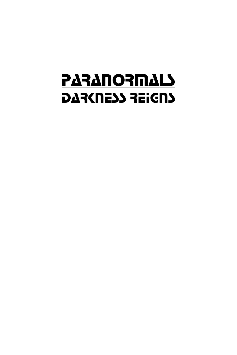# **PARANORMALS** DAR(NE) REIGNS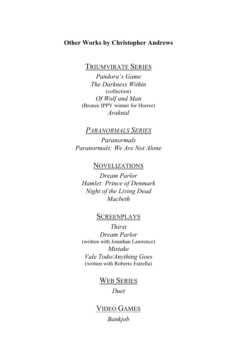### **Other Works by Christopher Andrews**

TRIUMVIRATE SERIES

*Pandora's Game The Darkness Within* (collection) *Of Wolf and Man* (Bronze IPPY winner for Horror) *Araknid*

## *PARANORMALS SERIES*

*Paranormals Paranormals: We Are Not Alone*

## NOVELIZATIONS

*Dream Parlor Hamlet: Prince of Denmark Night of the Living Dead Macbeth*

## **SCREENPLAYS**

*Thirst Dream Parlor* (written with Jonathan Lawrence) *Mistake Vale Todo/Anything Goes* (written with Roberto Estrella)

## WEB SERIES

*Duet*

## VIDEO GAMES *Bankjob*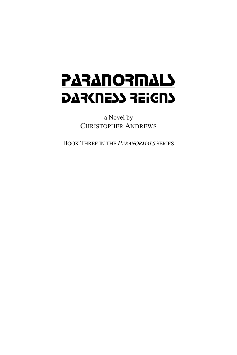# **PARANORMALS** DAR(NESS REIGNS

a Novel by CHRISTOPHER ANDREWS

BOOK THREE IN THE *PARANORMALS* SERIES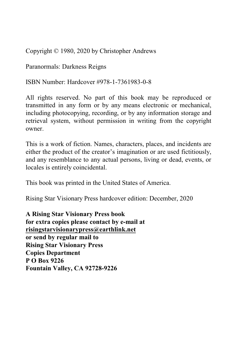Copyright © 1980, 2020 by Christopher Andrews

Paranormals: Darkness Reigns

ISBN Number: Hardcover #978-1-7361983-0-8

All rights reserved. No part of this book may be reproduced or transmitted in any form or by any means electronic or mechanical, including photocopying, recording, or by any information storage and retrieval system, without permission in writing from the copyright owner.

This is a work of fiction. Names, characters, places, and incidents are either the product of the creator's imagination or are used fictitiously, and any resemblance to any actual persons, living or dead, events, or locales is entirely coincidental.

This book was printed in the United States of America.

Rising Star Visionary Press hardcover edition: December, 2020

**A Rising Star Visionary Press book for extra copies please contact by e-mail at risingstarvisionarypress@earthlink.net or send by regular mail to Rising Star Visionary Press Copies Department P O Box 9226 Fountain Valley, CA 92728-9226**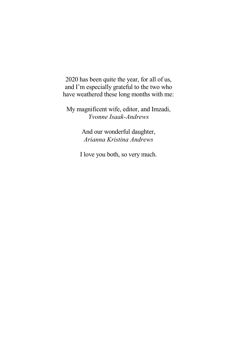2020 has been quite the year, for all of us, and I'm especially grateful to the two who have weathered these long months with me:

My magnificent wife, editor, and Imzadi, *Yvonne Isaak-Andrews*

> And our wonderful daughter, *Arianna Kristina Andrews*

I love you both, so very much.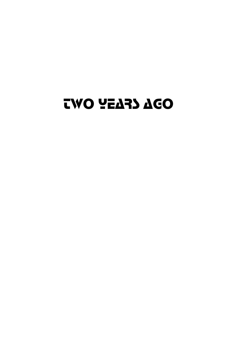## TWO YEARS AGO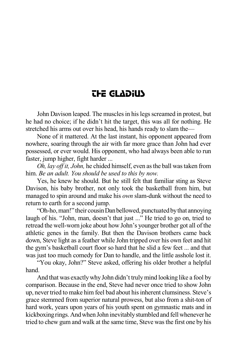## THE GLADIUS

John Davison leaped. The muscles in his legs screamed in protest, but he had no choice; if he didn't hit the target, this was all for nothing. He stretched his arms out over his head, his hands ready to slam the—

None of it mattered. At the last instant, his opponent appeared from nowhere, soaring through the air with far more grace than John had ever possessed, or ever would. His opponent, who had always been able to run faster, jump higher, fight harder ...

*Oh, lay off it, John,* he chided himself, even asthe ball wastaken from him. *Be an adult. You should be used to this by now.*

Yes, he knew he should. But he still felt that familiar sting as Steve Davison, his baby brother, not only took the basketball from him, but managed to spin around and make his *own* slam-dunk without the need to return to earth for a second jump.

"Oh-ho,man!" their cousinDanbellowed, punctuatedbythat annoying laugh of his. "John, man, doesn't that just ..." He tried to go on, tried to retread the well-worn joke about how John's younger brother got all of the athletic genes in the family. But then the Davison brothers came back down, Steve light as a feather while John tripped over his own feet and hit the gym's basketball court floor so hard that he slid a few feet ... and that was just too much comedy for Dan to handle, and the little asshole lost it.

"You okay, John?" Steve asked, offering his older brother a helpful hand.

And that was exactlywhy John didn't trulymind looking like a fool by comparison. Because in the end, Steve had never once tried to show John up, never tried to make him feel bad about his inherent clumsiness. Steve's grace stemmed from superior natural prowess, but also from a shit-ton of hard work, years upon years of his youth spent on gymnastic mats and in kickboxing rings. And when John inevitably stumbled and fell whenever he tried to chew gum and walk at the same time, Steve wasthe first one by his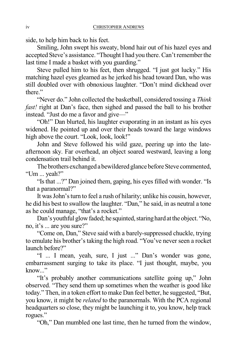side, to help him back to his feet.

Smiling, John swept his sweaty, blond hair out of his hazel eyes and accepted Steve's assistance. "Thought I had you there. Can't remember the last time I made a basket with you guarding."

Steve pulled him to his feet, then shrugged. "I just got lucky." His matching hazel eyes gleamed as he jerked his head toward Dan, who was still doubled over with obnoxious laughter. "Don't mind dickhead over there."

"Never do." John collected the basketball, considered tossing a *Think fast!* right at Dan's face, then sighed and passed the ball to his brother instead. "Just do me a favor and give—"

"Oh!" Dan blurted, his laughter evaporating in an instant as his eyes widened. He pointed up and over their heads toward the large windows high above the court. "Look, look, look!"

John and Steve followed his wild gaze, peering up into the lateafternoon sky. Far overhead, an object soared westward, leaving a long condensation trail behind it.

The brothers exchanged a bewildered glance before Steve commented, "Um ... yeah?"

"Is that ...?" Dan joined them, gaping, his eyes filled with wonder. "Is that a paranormal?"

It was John's turn to feel a rush of hilarity; unlike his cousin, however, he did his best to swallow the laughter. "Dan," he said, in as neutral a tone as he could manage, "that's a rocket."

Dan's youthful glow faded; he squinted, staring hard at the object. "No, no, it's ... are you sure?"

"Come on, Dan," Steve said with a barely-suppressed chuckle, trying to emulate his brother's taking the high road. "You've never seen a rocket launch before?"

"I ... I mean, yeah, sure, I just ..." Dan's wonder was gone, embarrassment surging to take its place. "I just thought, maybe, you know..."

"It's probably another communications satellite going up," John observed. "They send them up sometimes when the weather is good like today." Then, in a token effort to make Dan feel better, he suggested, "But, you know, it might be *related* to the paranormals. With the PCA regional headquarters so close, they might be launching it to, you know, help track rogues."

"Oh," Dan mumbled one last time, then he turned from the window,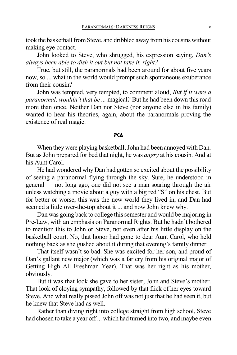took the basketball from Steve, and dribbled away from his cousins without making eye contact.

John looked to Steve, who shrugged, his expression saying, *Dan's always been able to dish it out but not take it, right?*

True, but still, the paranormals had been around for about five years now, so ... what in the world would prompt such spontaneous exuberance from their cousin?

John was tempted, very tempted, to comment aloud, *But if it were a paranormal, wouldn't that be ...* magical*?* But he had been down thisroad more than once. Neither Dan nor Steve (nor anyone else in his family) wanted to hear his theories, again, about the paranormals proving the existence of real magic.

#### **PCA**

When they were playing basketball, John had been annoyed with Dan. But asJohn prepared for bed that night, he was *angry* at his cousin. And at his Aunt Carol.

He had wondered why Dan had gotten so excited about the possibility of seeing a paranormal flying through the sky. Sure, he understood in general — not long ago, one did not see a man soaring through the air unless watching a movie about a guy with a big red "S" on his chest. But for better or worse, this was the new world they lived in, and Dan had seemed a little over-the-top about it ... and now John knew why.

Dan was going back to college this semester and would be majoring in Pre-Law, with an emphasis on Paranormal Rights. But he hadn't bothered to mention this to John or Steve, not even after his little display on the basketball court. No, that honor had gone to dear Aunt Carol, who held nothing back as she gushed about it during that evening's family dinner.

That itself wasn't so bad. She was excited for her son, and proud of Dan's gallant new major (which was a far cry from his original major of Getting High All Freshman Year). That was her right as his mother, obviously.

But it was that look she gave to her sister, John and Steve's mother. That look of cloying sympathy, followed by that flick of her eyes toward Steve. And what really pissed John off was not just that he had seen it, but he knew that Steve had as well.

Rather than diving right into college straight from high school, Steve had chosen to take a year off... which had turned into two, and maybe even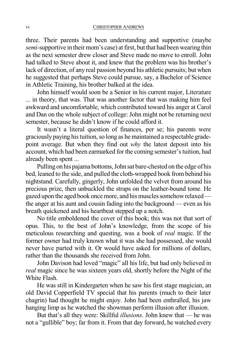three. Their parents had been understanding and supportive (maybe *semi*-supportive in their mom's case) at first, but that had been wearing thin as the next semester drew closer and Steve made no move to enroll. John had talked to Steve about it, and knew that the problem was his brother's lack of direction, of any real passion beyond his athletic pursuits; but when he suggested that perhaps Steve could pursue, say, a Bachelor of Science in Athletic Training, his brother balked at the idea.

John himself would soon be a Senior in his current major, Literature ... in theory, that was. That was another factor that was making him feel awkward and uncomfortable, which contributed toward his anger at Carol and Dan on the whole subject of college: John might not be returning next semester, because he didn't know if he could afford it.

It wasn't a literal question of finances, per se; his parents were graciously paying histuition,so long as he maintained a respectable gradepoint average. But when they find out *why* the latest deposit into his account, which had been earmarked for the coming semester's tuition, had already been spent ...

Pulling on his pajama bottoms, John sat bare-chested on the edge of his bed, leaned to the side, and pulled the cloth-wrapped book from behind his nightstand. Carefully, gingerly, John unfolded the velvet from around his precious prize, then unbuckled the straps on the leather-bound tome. He gazed upon the aged book once more, and his muscles somehow relaxed the anger at his aunt and cousin fading into the background — even as his breath quickened and his heartbeat stepped up a notch.

No title emboldened the cover of this book; this was not that sort of opus. This, to the best of John's knowledge, from the scope of his meticulous researching and questing, was a book of *real* magic. If the former owner had truly known what it was she had possessed, she would never have parted with it. Or would have asked for millions of dollars, rather than the thousands she received from John.

John Davison had loved "magic" all his life, but had only believed in *real* magic since he was sixteen years old, shortly before the Night of the White Flash.

He was still in Kindergarten when he saw his first stage magician, an old David Copperfield TV special that his parents (much to their later chagrin) had thought he might enjoy. John had been enthralled, his jaw hanging limp as he watched the showman perform illusion after illusion.

But that's all they were: Skillful *illusions*. John knew that — he was not a "gullible" boy; far from it. From that day forward, he watched every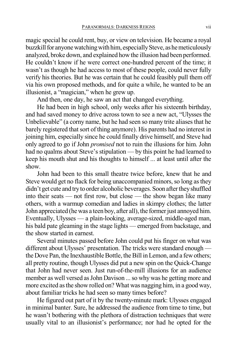magic special he could rent, buy, or view on television. He became a royal buzzkill for anyone watching with him, especially Steve, as he meticulously analyzed, broke down, and explained howthe illusion had been performed. He couldn't know if he were correct one-hundred percent of the time; it wasn't as though he had access to most of these people, could never fully verify his theories. But he was certain that he could feasibly pull them off via his own proposed methods, and for quite a while, he wanted to be an illusionist, a "magician," when he grew up.

And then, one day, he saw an act that changed everything.

He had been in high school, only weeks after his sixteenth birthday, and had saved money to drive across town to see a new act, "Ulysses the Unbelievable" (a corny name, but he had seen so many trite aliases that he barely registered that sort of thing anymore). His parents had no interest in joining him, especially since he could finally drive himself, and Steve had only agreed to go if John *promised* not to ruin the illusions for him. John had no qualms about Steve's stipulation — by this point he had learned to keep his mouth shut and his thoughts to himself ... at least until after the show.

John had been to this small theatre twice before, knew that he and Steve would get no flack for being unaccompanied minors, so long as they didn't get cute and try to order alcoholic beverages. Soon after they shuffled into their seats — not first row, but close — the show began like many others, with a warmup comedian and ladies in skimpy clothes; the latter John appreciated (he was a teen boy, after all), the former just annoyed him. Eventually, Ulysses — a plain-looking, average-sized, middle-aged man, his bald pate gleaming in the stage lights — emerged from backstage, and the show started in earnest.

Several minutes passed before John could put his finger on what was different about Ulysses' presentation. The tricks were standard enough the Dove Pan, the Inexhaustible Bottle, the Bill in Lemon, and a few others; all pretty routine, though Ulysses did put a new spin on the Quick-Change that John had never seen. Just run-of-the-mill illusions for an audience member as well versed as John Davison ... so why was he getting more and more excited asthe show rolled on? What was nagging him, in a good way, about familiar tricks he had seen so many times before?

He figured out part of it by the twenty-minute mark: Ulysses engaged in minimal banter. Sure, he addressed the audience from time to time, but he wasn't bothering with the plethora of distraction techniques that were usually vital to an illusionist's performance; nor had he opted for the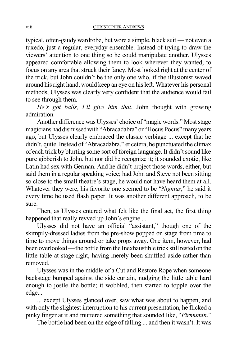typical, often-gaudy wardrobe, but wore a simple, black suit — not even a tuxedo, just a regular, everyday ensemble. Instead of trying to draw the viewers' attention to one thing so he could manipulate another, Ulysses appeared comfortable allowing them to look wherever they wanted, to focus on any area that struck their fancy. Most looked right at the center of the trick, but John couldn't be the only one who, if the illusionist waved around hisright hand, would keep an eye on hisleft. Whatever his personal methods, Ulysses was clearly very confident that the audience would fail to see through them.

*He's got balls, I'll give him that*, John thought with growing admiration.

Another difference was Ulysses' choice of "magic words." Most stage magicians had dismissed with "Abracadabra" or "Hocus Pocus" many years ago, but Ulysses clearly embraced the classic verbiage ... except that he didn't, quite. Instead of "Abracadabra," et cetera, he punctuated the climax of each trick by blurting some sort of foreign language. It didn't sound like pure gibberish to John, but nor did he recognize it; it sounded exotic, like Latin had sex with German. And he didn't project those words, either, but said them in a regular speaking voice; had John and Steve not been sitting so close to the small theatre's stage, he would not have heard them at all. Whatever they were, his favorite one seemed to be "*Nignius*;" he said it every time he used flash paper. It was another different approach, to be sure.

Then, as Ulysses entered what felt like the final act, the first thing happened that really revved up John's engine ...

Ulysses did not have an official "assistant," though one of the skimpily-dressed ladies from the pre-show popped on stage from time to time to move things around or take props away. One item, however, had been overlooked—the bottle from the Inexhaustible trick still rested on the little table at stage-right, having merely been shuffled aside rather than removed.

Ulysses was in the middle of a Cut and Restore Rope when someone backstage bumped against the side curtain, nudging the little table hard enough to jostle the bottle; it wobbled, then started to topple over the edge...

... except Ulysses glanced over, saw what was about to happen, and with only the slightest interruption to his current presentation, he flicked a pinky finger at it and muttered something that sounded like, "*Firmumin*."

The bottle had been on the edge of falling ... and then it wasn't. It was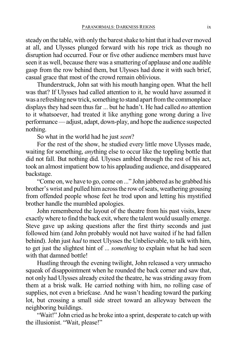steady on the table, with only the barest shake to hint that it had ever moved at all, and Ulysses plunged forward with his rope trick as though no disruption had occurred. Four or five other audience members must have seen it as well, because there was a smattering of applause and one audible gasp from the row behind them, but Ulysses had done it with such brief, casual grace that most of the crowd remain oblivious.

Thunderstruck, John sat with his mouth hanging open. What the hell was that? If Ulysses had called attention to it, he would have assumed it was a refreshing new trick, something to stand apart from the commonplace displays they had seen thus far ... but he hadn't. He had called *no* attention to it whatsoever, had treated it like anything gone wrong during a live performance—adjust, adapt, down-play, and hope the audience suspected nothing.

So what in the world had he just *seen*?

For the rest of the show, he studied every little move Ulysses made, waiting for something, *any*thing else to occur like the toppling bottle that did not fall. But nothing did. Ulysses ambled through the rest of his act, took an almost impatient bow to his applauding audience, and disappeared backstage.

"Come on, we have to go, come on ..." John jabbered as he grabbed his brother's wrist and pulled himacrossthe rowofseats, weathering grousing from offended people whose feet he trod upon and letting his mystified brother handle the mumbled apologies.

John remembered the layout of the theatre from his past visits, knew exactly where to find the back exit, where the talent would usually emerge. Steve gave up asking questions after the first thirty seconds and just followed him (and John probably would not have waited if he had fallen behind). John just *had* to meet Ulysses the Unbelievable, to talk with him, to get just the slightest hint of ... *something* to explain what he had seen with that damned bottle!

Hustling through the evening twilight, John released a very unmacho squeak of disappointment when he rounded the back corner and saw that, not only had Ulysses already exited the theatre, he wasstriding away from them at a brisk walk. He carried nothing with him, no rolling case of supplies, not even a briefcase. And he wasn't heading toward the parking lot, but crossing a small side street toward an alleyway between the neighboring buildings.

"Wait!" John cried as he broke into a sprint, desperate to catch up with the illusionist. "Wait, please!"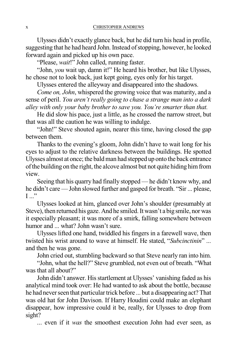Ulysses didn't exactly glance back, but he did turn his head in profile, suggesting that he had heard John. Instead of stopping, however, he looked forward again and picked up his own pace.

"Please, *wait*!" John called, running faster.

"John, *you* wait up, damn it!" He heard his brother, but like Ulysses, he chose not to look back, just kept going, eyes only for his target.

Ulysses entered the alleyway and disappeared into the shadows.

*Come on, John*, whispered the growing voice that was maturity, and a sense of peril. *You aren't really going to chase a strange man into a dark alley with only your baby brother to save you. You're smarter than that.*

He did slow his pace, just a little, as he crossed the narrow street, but that was all the caution he was willing to indulge.

"John!" Steve shouted again, nearer this time, having closed the gap between them.

Thanks to the evening's gloom, John didn't have to wait long for his eyes to adjust to the relative darkness between the buildings. He spotted Ulysses almost at once; the baldman had stepped up onto the back entrance ofthe building on the right, the alcove almost but not quite hiding himfrom view.

Seeing that his quarry had finally stopped —he didn't know why, and he didn't care —John slowed further and gasped for breath. "Sir ... please,  $\mathbf{I} \dots$ "

Ulysses looked at him, glanced over John's shoulder (presumably at Steve), then returned his gaze. And he smiled. It wasn't a big smile, nor was it especially pleasant; it was more of a smirk, falling somewhere between humor and ... what? John wasn't sure.

Ulysses lifted one hand, twiddled his fingers in a farewell wave, then twisted his wrist around to wave at himself. He stated, "*Subcinctinin*" ... and then he was gone.

John cried out, stumbling backward so that Steve nearly ran into him.

"John, what the hell?" Steve grumbled, not even out of breath. "What was that all about?"

John didn't answer. His startlement at Ulysses' vanishing faded as his analytical mind took over: He had wanted to ask about the bottle, because he had never seen that particular trick before ... but a disappearing act? That was old hat for John Davison. If Harry Houdini could make an elephant disappear, how impressive could it be, really, for Ulysses to drop from sight?

... even if it *was* the smoothest execution John had ever seen, as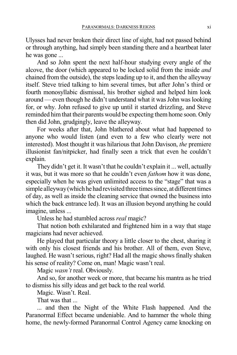Ulysses had never broken their direct line of sight, had not passed behind or through anything, had simply been standing there and a heartbeat later he was gone ...

And so John spent the next half-hour studying every angle of the alcove, the door (which appeared to be locked solid from the inside *and* chained from the outside), the steps leading up to it, and then the alleyway itself. Steve tried talking to him several times, but after John's third or fourth monosyllabic dismissal, his brother sighed and helped him look around — even though he didn't understand what it was John was looking for, or why. John refused to give up until it started drizzling, and Steve reminded him that their parents would be expecting them home soon. Only then did John, grudgingly, leave the alleyway.

For weeks after that, John blathered about what had happened to anyone who would listen (and even to a few who clearly were not interested). Most thought it was hilarious that John Davison, *the* premiere illusionist fan/nitpicker, had finally seen a trick that even he couldn't explain.

They didn't get it. It wasn't that he couldn't explain it ... well, actually it was, but it was more so that he couldn't even *fathom* how it was done, especially when he was given unlimited access to the "stage" that was a simple alleyway (which he had revisited three times since, at different times of day, as well as inside the cleaning service that owned the business into which the back entrance led). It was an illusion beyond anything he could imagine, unless ...

Unless he had stumbled across *real* magic?

That notion both exhilarated and frightened him in a way that stage magicians had never achieved.

He played that particular theory a little closer to the chest, sharing it with only his closest friends and his brother. All of them, even Steve, laughed. He wasn't serious, right? Had all the magic shows finally shaken his sense of reality? Come on, man! Magic wasn't real.

Magic *wasn't* real. Obviously.

And so, for another week or more, that became his mantra as he tried to dismiss his silly ideas and get back to the real world.

Magic. Wasn't. Real.

That was that ...

... and then the Night of the White Flash happened. And the Paranormal Effect became undeniable. And to hammer the whole thing home, the newly-formed Paranormal Control Agency came knocking on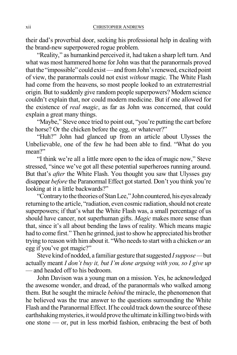their dad's proverbial door, seeking his professional help in dealing with the brand-new superpowered rogue problem.

"Reality," as humankind perceived it, had taken a sharp left turn. And what was most hammered home for John wasthat the paranormals proved that the "impossible" could exist—and from John's renewed, excited point of view, the paranormals could not exist *without* magic. The White Flash had come from the heavens, so most people looked to an extraterrestrial origin. But to suddenly give random people superpowers? Modern science couldn't explain that, nor could modern medicine. But if one allowed for the existence of *real magic*, as far as John was concerned, that could explain a great many things.

"Maybe," Steve once tried to point out, "you're putting the cart before the horse? Or the chicken before the egg, or whatever?"

"Huh?" John had glanced up from an article about Ulysses the Unbelievable, one of the few he had been able to find. "What do you mean?"

"I think we're all a little more open to the idea of magic now," Steve stressed, "since we've got all these potential superheroes running around. But that's *after* the White Flash. You thought you saw that Ulysses guy disappear *before* the Paranormal Effect got started. Don't you think you're looking at it a little backwards?"

"Contrary to the theories of Stan Lee," John countered, his eyes already returning to the article, "radiation, even cosmic radiation, should not create superpowers; if that's what the White Flash was, a small percentage of us should have cancer, not superhuman gifts. *Magic* makes more sense than that, since it's all about bending the laws of reality. Which means magic had to come first." Then he grinned, just to showhe appreciated his brother trying to reason with himabout it. "Who needsto start with a chicken *or* an egg if you've got magic?"

Steve kind of nodded, a familiar gesture that suggested *I suppose* — but actually meant *I don't buy it, but I'm done arguing with you, so I give up* — and headed off to his bedroom.

John Davison was a young man on a mission. Yes, he acknowledged the awesome wonder, and dread, of the paranormals who walked among them. But he sought the miracle *behind* the miracle, the phenomenon that he believed was the true answer to the questions surrounding the White Flash and the Paranormal Effect. If he could track down the source of these earthshaking mysteries, it would prove the ultimate in killing two birds with one stone — or, put in less morbid fashion, embracing the best of both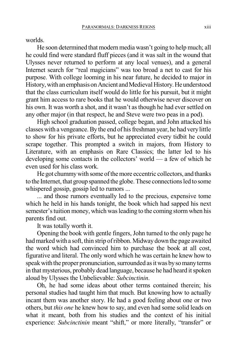worlds.

He soon determined that modern media wasn't going to help much; all he could find were standard fluff pieces (and it was salt in the wound that Ulysses never returned to perform at any local venues), and a general Internet search for "real magicians" was too broad a net to cast for his purpose. With college looming in his near future, he decided to major in History, with an emphasis on Ancient and Medieval History. He understood that the class curriculum itself would do little for his pursuit, but it might grant him access to rare books that he would otherwise never discover on his own. It was worth a shot, and it wasn't as though he had ever settled on any other major (in that respect, he and Steve were two peas in a pod).

High school graduation passed, college began, and John attacked his classes with a vengeance. By the end of his freshman year, he had very little to show for his private efforts, but he appreciated every tidbit he could scrape together. This prompted a switch in majors, from History to Literature, with an emphasis on Rare Classics; the latter led to his developing some contacts in the collectors' world — a few of which he even used for his class work.

He got chummy with some of the more eccentric collectors, and thanks to the Internet, that group spanned the globe. These connections led to some whispered gossip, gossip led to rumors ...

... and those rumors eventually led to the precious, expensive tome which he held in his hands tonight, the book which had sapped his next semester's tuition money, which was leading to the coming storm when his parents find out.

It was totally worth it.

Opening the book with gentle fingers, John turned to the only page he had marked with a soft, thin strip of ribbon. Midway down the page awaited the word which had convinced him to purchase the book at all cost, figurative and literal. The only word which he was certain he knew how to speak with the proper pronunciation, surrounded as it was by so many terms in that mysterious, probably dead language, because he had heard it spoken aloud by Ulysses the Unbelievable: *Subcinctinin*.

Oh, he had some ideas about other terms contained therein; his personal studies had taught him that much. But knowing how to actually incant them was another story. He had a good feeling about one or two others, but *this one* he knew how to say, and even had some solid leads on what it meant, both from his studies and the context of his initial experience: *Subcinctinin* meant "shift," or more literally, "transfer" or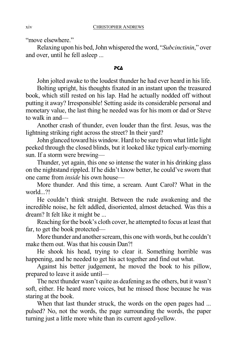"move elsewhere."

Relaxing upon his bed,John whispered the word, "*Subcinctinin*," over and over, until he fell asleep ...

#### PCA

John jolted awake to the loudest thunder he had ever heard in his life.

Bolting upright, his thoughts fixated in an instant upon the treasured book, which still rested on his lap. Had he actually nodded off without putting it away? Irresponsible! Setting aside its considerable personal and monetary value, the last thing he needed was for his mom or dad or Steve to walk in and—

Another crash of thunder, even louder than the first. Jesus, was the lightning striking right across the street? In their yard?

John glanced toward his window. Hard to be sure fromwhat little light peeked through the closed blinds, but it looked like typical early-morning sun. If a storm were brewing—

Thunder, yet again, this one so intense the water in his drinking glass on the nightstand rippled. If he didn't know better, he could've sworn that one came from *inside* his own house—

More thunder. And this time, a scream. Aunt Carol? What in the world...?!

He couldn't think straight. Between the rude awakening and the incredible noise, he felt addled, disoriented, almost detached. Was this a dream? It felt like it might be ...

Reaching for the book's cloth cover, he attempted to focus at least that far, to get the book protected—

More thunder and another scream, this one with words, but he couldn't make them out. Was that his cousin Dan?!

He shook his head, trying to clear it. Something horrible was happening, and he needed to get his act together and find out what.

Against his better judgement, he moved the book to his pillow, prepared to leave it aside until—

The next thunder wasn't quite as deafening asthe others, but it wasn't soft, either. He heard more voices, but he missed those because he was staring at the book.

When that last thunder struck, the words on the open pages had ... pulsed? No, not the words, the page surrounding the words, the paper turning just a little more white than its current aged-yellow.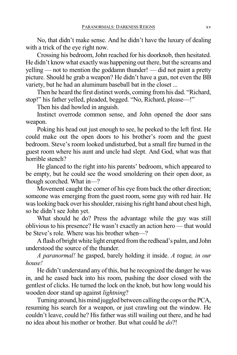No, that didn't make sense. And he didn't have the luxury of dealing with a trick of the eye right now.

Crossing his bedroom, John reached for his doorknob, then hesitated. He didn't know what exactlywas happening out there, but the screams and yelling — not to mention the goddamn thunder! — did not paint a pretty picture. Should he grab a weapon? He didn't have a gun, not even the BB variety, but he had an aluminum baseball bat in the closet ...

Then he heard the first distinct words, coming from his dad. "Richard, stop!" his father yelled, pleaded, begged. "No, Richard, please—!"

Then his dad howled in anguish.

Instinct overrode common sense, and John opened the door sans weapon.

Poking his head out just enough to see, he peeked to the left first. He could make out the open doors to his brother's room and the guest bedroom. Steve's room looked undisturbed, but a small fire burned in the guest room where his aunt and uncle had slept. And God, what was that horrible stench?

He glanced to the right into his parents' bedroom, which appeared to be empty, but he could see the wood smoldering on their open door, as though scorched. What in—?

Movement caught the corner of his eye from back the other direction; someone was emerging from the guest room, some guy with red hair. He was looking back over his shoulder, raising his right hand about chest high, so he didn't see John yet.

What should he do? Press the advantage while the guy was still oblivious to his presence? He wasn't exactly an action hero — that would be Steve's role. Where was his brother when—?

Aflash of bright white light erupted fromthe redhead's palm, and John understood the source of the thunder.

*A paranormal!* he gasped, barely holding it inside. *A* rogue*, in our house!*

He didn't understand any of this, but he recognized the danger he was in, and he eased back into his room, pushing the door closed with the gentlest of clicks. He turned the lock on the knob, but how long would his wooden door stand up against *lightning*?

Turning around, his mind juggled between calling the cops or the PCA, resuming his search for a weapon, or just crawling out the window. He couldn't leave, could he? His father was still wailing out there, and he had no idea about his mother or brother. But what could he *do*?!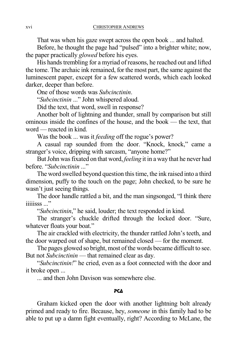That was when his gaze swept across the open book ... and halted.

Before, he thought the page had "pulsed" into a brighter white; now, the paper practically *glowed* before his eyes.

His hands trembling for a myriad of reasons, he reached out and lifted the tome. The archaic ink remained, for the most part, the same against the luminescent paper, except for a few scattered words, which each looked darker, deeper than before.

One of those words was *Subcinctinin*.

"*Subcinctinin* ..." John whispered aloud.

Did the text, that word, swell in response?

Another bolt of lightning and thunder, small by comparison but still ominous inside the confines of the house, and the book — the text, that word — reacted in kind.

Was the book ... was it *feeding* off the rogue's power?

A casual rap sounded from the door. "Knock, knock," came a stranger's voice, dripping with sarcasm, "anyone home?"

But John was fixated on that word, *feeling* it in a way that he never had before. "*Subcinctinin* ..."

The word swelled beyond question this time, the ink raised into a third dimension, puffy to the touch on the page; John checked, to be sure he wasn't just seeing things.

The door handle rattled a bit, and the man singsonged, "I think there iiiiisss ..."

"*Subcinctinin*," he said, louder; the text responded in kind.

The stranger's chuckle drifted through the locked door. "Sure, whatever floats your boat."

The air crackled with electricity, the thunder rattled John's teeth, and the door warped out of shape, but remained closed — for the moment.

The pages glowed so bright, most of the words became difficult to see. But not *Subcinctinin* — that remained clear as day.

"*Subcinctinin!*" he cried, even as a foot connected with the door and it broke open ...

... and then John Davison was somewhere else.

#### PCA

Graham kicked open the door with another lightning bolt already primed and ready to fire. Because, hey, *someone* in this family had to be able to put up a damn fight eventually, right? According to McLane, the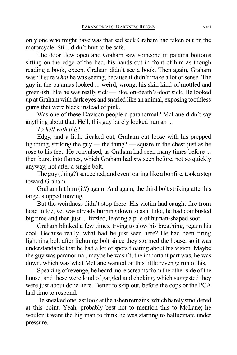only one who might have was that sad sack Graham had taken out on the motorcycle. Still, didn't hurt to be safe.

The door flew open and Graham saw someone in pajama bottoms sitting on the edge of the bed, his hands out in front of him as though reading a book, except Graham didn't see a book. Then again, Graham wasn't sure *what* he was seeing, because it didn't make a lot of sense. The guy in the pajamas looked ... weird, wrong, his skin kind of mottled and green-ish, like he was really sick — like, on-death's-door sick. He looked up at Grahamwith dark eyes and snarled like an animal, exposing toothless gums that were black instead of pink.

Was one of these Davison people a paranormal? McLane didn't say anything about that. Hell, this guy barely looked human ...

*To hell with this!*

Edgy, and a little freaked out, Graham cut loose with his prepped lightning, striking the guy — the thing? — square in the chest just as he rose to his feet. He convulsed, as Graham had seen many times before ... then burst into flames, which Graham had *not* seen before, not so quickly anyway, not after a single bolt.

The guy (thing?) screeched, and even roaring like a bonfire, took a step toward Graham.

Graham hit him (it?) again. And again, the third bolt striking after his target stopped moving.

But the weirdness didn't stop there. His victim had caught fire from head to toe, yet was already burning down to ash. Like, he had combusted big time and then just ... fizzled, leaving a pile of human-shaped soot.

Graham blinked a few times, trying to slow his breathing, regain his cool. Because really, what had he just seen here? He had been firing lightning bolt after lightning bolt since they stormed the house, so it was understandable that he had a lot of spots floating about his vision. Maybe the guy was paranormal, maybe he wasn't; the important part was, he was down, which was what McLane wanted on this little revenge run of his.

Speaking of revenge, he heard more screams from the other side of the house, and these were kind of gargled and choking, which suggested they were just about done here. Better to skip out, before the cops or the PCA had time to respond.

He sneaked one last look at the ashen remains, which barely smoldered at this point. Yeah, probably best not to mention this to McLane; he wouldn't want the big man to think he was starting to hallucinate under pressure.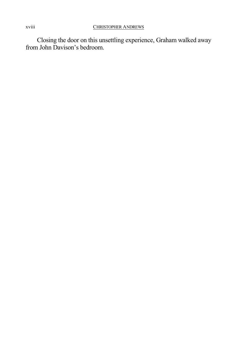Closing the door on this unsettling experience, Graham walked away from John Davison's bedroom.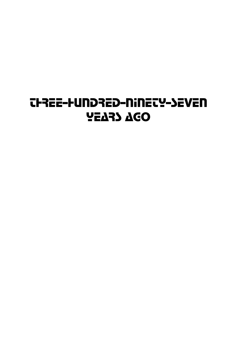## THREE-HUNDRED-NINETY-SEVEN YEARS AGO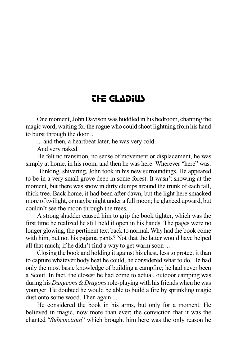## THE GLADIUS

One moment,John Davison was huddled in his bedroom, chanting the magic word, waiting for the rogue who could shoot lightning fromhis hand to burst through the door ...

... and then, a heartbeat later, he was very cold.

And very naked.

He felt no transition, no sense of movement or displacement, he was simply at home, in his room, and then he was here. Wherever "here" was.

Blinking, shivering, John took in his new surroundings. He appeared to be in a very small grove deep in some forest. It wasn't snowing at the moment, but there was snow in dirty clumps around the trunk of each tall, thick tree. Back home, it had been after dawn, but the light here smacked more oftwilight, or maybe night under a full moon; he glanced upward, but couldn't see the moon through the trees.

A strong shudder caused him to grip the book tighter, which was the first time he realized he still held it open in his hands. The pages were no longer glowing, the pertinent text back to normal. Why had the book come with him, but not his pajama pants? Not that the latter would have helped all that much; if he didn't find a way to get warm soon ...

Closing the book and holding it against his chest, lessto protect it than to capture whatever body heat he could, he considered what to do. He had only the most basic knowledge of building a campfire; he had never been a Scout. In fact, the closest he had come to actual, outdoor camping was during his *Dungeons&Dragons*role-playing with hisfriends when he was younger. He doubted he would be able to build a fire by sprinkling magic dust onto some wood. Then again ...

He considered the book in his arms, but only for a moment. He believed in magic, now more than ever; the conviction that it was the chanted "*Subcinctinin*" which brought him here was the only reason he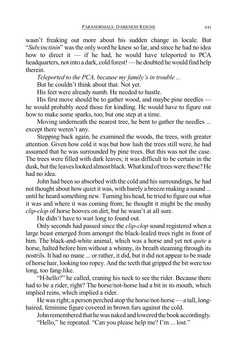wasn't freaking out more about his sudden change in locale. But "*Subcinctinin*" wasthe only word he knew so far, and since he had no idea how to direct it — if he had, he would have teleported to PCA headquarters, not into a dark, cold forest! — he doubted he would find help therein.

*Teleported to the PCA, because my family's in trouble ...*

But he couldn't think about that. Not yet.

His feet were already numb. He needed to hustle.

His first move should be to gather wood, and maybe pine needles he would probably need those for kindling. He would have to figure out how to make some sparks, too, but one step at a time.

Moving underneath the nearest tree, he bent to gather the needles ... except there weren't any.

Stepping back again, he examined the woods, the trees, with greater attention. Given how cold it was but how lush the trees still were, he had assumed that he was surrounded by pine trees. But this was not the case. The trees were filled with dark leaves; it was difficult to be certain in the dusk, but the leaves looked almost black. What kind of trees were these? He had no idea.

John had been so absorbed with the cold and his surroundings, he had not thought about how quiet it was, with barely a breeze making a sound ... until he heard something new. Turning his head, he tried to figure out what it was and where it was coming from; he thought it might be the mushy *clip-clop* of horse hooves on dirt, but he wasn't at all sure.

He didn't have to wait long to found out.

Only seconds had passed since the *clip-clop* sound registered when a large beast emerged from amongst the black-leafed trees right in front of him. The black-and-white animal, which was a horse and yet not *quite* a horse, halted before him without a whinny, its breath steaming through its nostrils. It had no mane ... or rather, it did, but it did not appear to be made of horse hair, looking too ropey. And the teeth that gripped the bit were too long, too fang-like.

"H-hello?" he called, craning his neck to see the rider. Because there had to be a rider, right? The horse/not-horse had a bit in its mouth, which implied reins, which implied a rider.

He was right; a person perched atop the horse/not-horse — a tall, longhaired, feminine figure covered in brown furs against the cold.

John remembered that he was naked and lowered the book accordingly. "Hello," he repeated. "Can you please help me? I'm ... lost."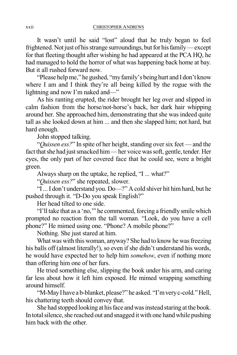It wasn't until he said "lost" aloud that he truly began to feel frightened. Not just of his strange surroundings, but for his family—except for that fleeting thought after wishing he had appeared at the PCA HQ, he had managed to hold the horror of what was happening back home at bay. But it all rushed forward now.

"Please helpme," he gushed, "my family's being hurt and I don't know where I am and I think they're all being killed by the rogue with the lightning and now I'm naked and—"

As his ranting erupted, the rider brought her leg over and slipped in calm fashion from the horse/not-horse's back, her dark hair whipping around her. She approached him, demonstrating that she was indeed quite tall as she looked down at him ... and then she slapped him; not hard, but hard enough.

John stopped talking.

"*Quissen ess?*" In spite of her height, standing over six feet — and the fact that she had just smacked him—her voice was soft, gentle, tender. Her eyes, the only part of her covered face that he could see, were a bright green.

Always sharp on the uptake, he replied, "I ... what?"

"*Quissen ess?*" she repeated, slower.

"I...I don't understand you. Do—?" A cold shiver hit himhard, but he pushed through it. "D-Do you speak English?"

Her head tilted to one side.

"I'll take that as a 'no," he commented, forcing a friendly smile which prompted no reaction from the tall woman. "Look, do you have a cell phone?" He mimed using one. "Phone? A mobile phone?"

Nothing. She just stared at him.

What was with this woman, anyway? She had to know he was freezing his balls off (almost literally!), so even if she didn't understand his words, he would have expected her to help him *somehow*, even if nothing more than offering him one of her furs.

He tried something else, slipping the book under his arm, and caring far less about how it left him exposed. He mimed wrapping something around himself.

"M-MayI have a b-blanket, please?" he asked. "I'mveryc-cold."Hell, his chattering teeth should convey that.

She had stopped looking at his face and was instead staring at the book. In total silence, she reached out and snagged it with one hand while pushing him back with the other.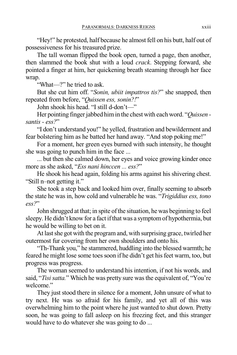"Hey!" he protested, half because he almost fell on his butt, half out of possessiveness for his treasured prize.

The tall woman flipped the book open, turned a page, then another, then slammed the book shut with a loud *crack*. Stepping forward, she pointed a finger at him, her quickening breath steaming through her face wrap.

"What—?" he tried to ask.

But she cut him off. "*Sonin, ubiit impattros tis?*" she snapped, then repeated from before, "*Quissen ess, sonin?!*"

John shook his head. "I still d-don't—"

Her pointing finger jabbed him in the chest with each word. "*Quissen santis - ess?*"

"I don't understand you!" he yelled, frustration and bewilderment and fear bolstering him as he batted her hand away. "And stop poking me!"

For a moment, her green eyes burned with such intensity, he thought she was going to punch him in the face ...

... but then she calmed down, her eyes and voice growing kinder once more as she asked, "*Ess nani hinccen ... ess?*"

He shook his head again, folding his arms against his shivering chest. "Still n–not getting it."

She took a step back and looked him over, finally seeming to absorb the state he was in, how cold and vulnerable he was. "*Trigiddius ess, tono ess?*"

John shrugged at that; in spite of the situation, he was beginning to feel sleepy. He didn't know for a fact if that was a symptom of hypothermia, but he would be willing to bet on it.

At last she got with the program and, with surprising grace, twirled her outermost fur covering from her own shoulders and onto his.

"Th-Thank you," he stammered, huddling into the blessed warmth; he feared he might lose some toes soon if he didn't get his feet warm, too, but progress was progress.

The woman seemed to understand his intention, if not his words, and said, "*Tisi satta.*" Which he was pretty sure was the equivalent of, "You're" welcome."

They just stood there in silence for a moment, John unsure of what to try next. He was so afraid for his family, and yet all of this was overwhelming him to the point where he just wanted to shut down. Pretty soon, he was going to fall asleep on his freezing feet, and this stranger would have to do whatever she was going to do ...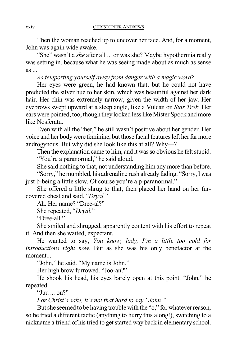Then the woman reached up to uncover her face. And, for a moment, John was again wide awake.

"She" wasn't a *she* after all ... or was she? Maybe hypothermia really was setting in, because what he was seeing made about as much as sense as ...

*As teleporting yourself away from danger with a magic word?*

Her eyes were green, he had known that, but he could not have predicted the silver hue to her skin, which was beautiful against her dark hair. Her chin was extremely narrow, given the width of her jaw. Her eyebrows swept upward at a steep angle, like a Vulcan on *Star Trek*. Her ears were pointed, too, though they looked lesslike Mister Spock and more like Nosferatu.

Even with all the "her," he still wasn't positive about her gender. Her voice and her body were feminine, but those facial features left her far more androgynous. But why did she look like this at all? Why—?

Then the explanation came to him, and it was so obvious he felt stupid. "You're a paranormal," he said aloud.

She said nothing to that, not understanding him any more than before.

"Sorry," hemumbled, his adrenaline rush already fading. "Sorry,Iwas just b-being a little slow. Of course you're a p-paranormal."

She offered a little shrug to that, then placed her hand on her furcovered chest and said, "*Dryal.*"

Ah. Her name? "Dree-al?"

She repeated, "*Dryal.*"

"Dree-all."

She smiled and shrugged, apparently content with his effort to repeat it. And then she waited, expectant.

He wanted to say, *You know, lady, I'm a little too cold for introductions right now.* But as she was his only benefactor at the moment...

"John," he said. "My name is John."

Her high brow furrowed. "Joo-an?"

He shook his head, his eyes barely open at this point. "John," he repeated.

"Juu ... on?"

*For Christ's sake, it's not that hard to say "John."*

But she seemed to be having trouble with the "o," for whatever reason, so he tried a different tactic (anything to hurry this along!), switching to a nickname a friend of his tried to get started way back in elementary school.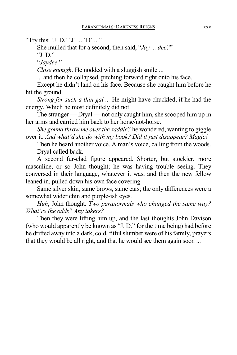"Try this: 'J. D.' 'J' ... 'D' ..."

She mulled that for a second, then said, "*Jay ... dee?*"

"J. D."

"*Jaydee*."

*Close enough*. He nodded with a sluggish smile ...

... and then he collapsed, pitching forward right onto his face.

Except he didn't land on his face. Because she caught him before he hit the ground.

*Strong for such a thin gal ...* He might have chuckled, if he had the energy. Which he most definitely did not.

The stranger — Dryal — not only caught him, she scooped him up in her arms and carried him back to her horse/not-horse.

*She gonna throw me over the saddle?* he wondered, wanting to giggle over it. *And what'd she do with my book? Did it just disappear? Magic!*

Then he heard another voice. A man's voice, calling from the woods. Dryal called back.

A second fur-clad figure appeared. Shorter, but stockier, more masculine, or so John thought; he was having trouble seeing. They conversed in their language, whatever it was, and then the new fellow leaned in, pulled down his own face covering.

Same silver skin, same brows, same ears; the only differences were a somewhat wider chin and purple-ish eyes.

*Huh*, John thought. *Two paranormals who changed the same way? What're the odds? Any takers?*

Then they were lifting him up, and the last thoughts John Davison (who would apparently be known as "J. D." for the time being) had before he drifted away into a dark, cold, fitful slumber were of his family, prayers that they would be all right, and that he would see them again soon ...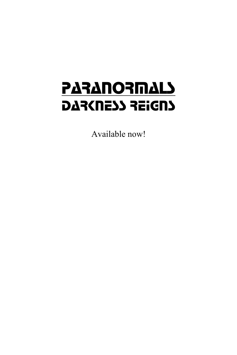# **PARANORMALS** DAR(NE) REIGNS

Available now!